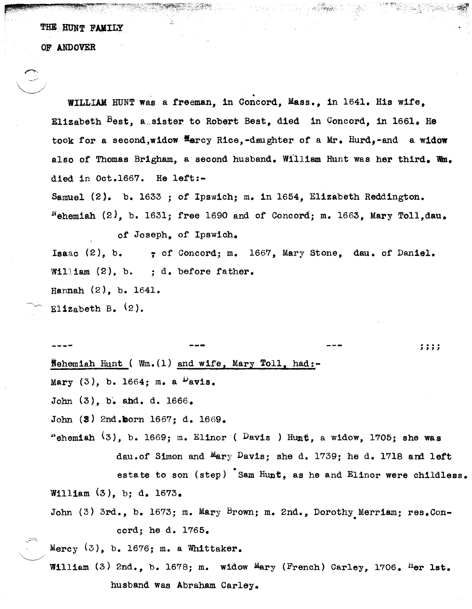THE HUNT FAMILY

OF ANDOVER

WILLIAM HUNT was a freeman, in Concord, Mass., in 1641. His wife, Elizabeth Best, a sister to Robert Best, died in Concord, in 1661. He took for a second, widow  $\frac{M}{2}$  arcy Rice, -daughter of a Mr. Hurd, -and a widow also of Thomas Brigham, a second husband. William Hunt was her third. Wm. died in Oct.1667. He left:-

Samuel (2). b. 1633 ; of Ipswich; m. in 1654, Elizabeth Reddington.  $^{\text{N}}$ ehemiah (2), b. 1631; free 1690 and of Concord; m. 1663, Mary Toll,dau. of Joseph, of Ipswich.

Isaac (2), b.  $\qquad \qquad$ ; of Concord; m. 1667, Mary Stone, dau. of Daniel. WilJiam (2), b. ; d. before father. Hannah (2), b. 1641.

Elizabeth B.  $(2)$ .

 $\Rightarrow$ 

Nehemiah Hunt ( $Wm.(1)$  and wife, Mary Toll, had:-Mary  $(3)$ , b. 1664; m. a  $\nu$ avis. John  $(3)$ , b. and. d. 1666. John (3) 2nd.horn 1667; d. 1669. , , , ,<br>, , , , "ehemish  $(3)$ , b. 1669; m. Elinor ( Davis) Hunt, a widow, 1705; she was dau.of Simon and Mary Davis; she d. 1739; he d. 1718 and left estate to son (step) Sam Hunt, as he and Elinor were childless. William (3), b; d. 1673. John (3) 3rd., b. 1673; m. Mary Brown; m. 2nd., Dorothy Merriam; res.Concord; he d. 1765. Mercy  $(3)$ , b. 1676; m. a Whittaker.

William (3) 2nd., b. 1678; m. widow Mary (French) Carley, 1706. Her lst. husband was Abraham Carley.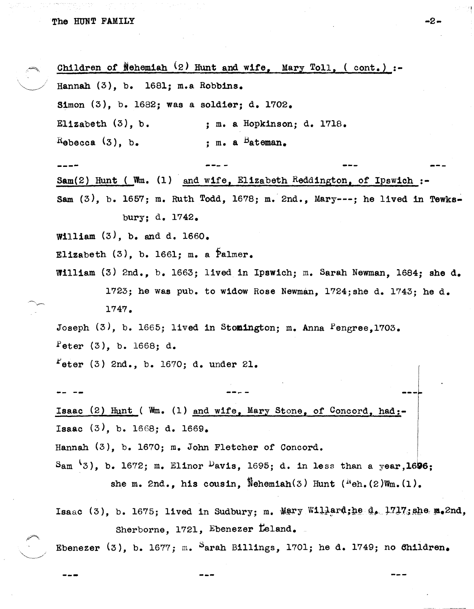Children of Nehemiah  $(2)$  Hunt and wife, Mary Toll, ( cont.) :-Hannah  $(3)$ , b. 1681; m.a Robbins. Simon (3), b. 1682; was a soldier; d. 1702. Elizabeth (3), b.  $R$ ebecca  $(3)$ , b. **----** ; m. a Hopkinson; d. 1718. : m. a <sup>B</sup>ateman. Sam $(2)$  Hunt (Wm.  $(1)$  and wife, Elizabeth Reddington, of Ipswich :-Sam  $(3)$ , b. 1657; m. Ruth Todd, 1678; m. 2nd., Mary---; he lived in Tewksbury; d. 1742. William  $(3)$ , b. and d. 1660. Elizabeth  $(3)$ , b. 1661; m. a Palmer. William (3) 2nd., b. 1663; lived in Ipswich; m. Sarah Newman, 1684; she d. 1723; he was pub. to widow Rose Newman, 1724;she d. 1743; he d. 1747. Joseph (3), b. 1665; lived in Stomington; m. Anna Pengree, 1703. Peter  $(3)$ , b. 1668; d.  $r_{\text{eter}}$  (3) 2nd., b. 1670; d. under 21. **--- -** Isaac (2) Hunt ( Wm. (1) and wife, Mary Stone, of Concord, had:- Isaac (3), b. 1668; d. 1669. Hannah (3), b. 1670; m. John Fletcher of Concord. Sam  $\{3\}$ , b. 1672; m. Elinor <sup>D</sup>avis, 1695; d. in less than a year, 1696; she m. 2nd., his cousin, Nehemiah(3) Hunt  $(\sqrt{N_{\text{eh}})(2)W_{\text{em}}}(1)$ . Isaac (3), b. 1675; lived in Sudbury; m.  $Mary$  Willerd;he d. 1717;she m.2nd, Sherborne, 1721, Ebenezer Leland.

Ebenezer  $(3)$ , b. 1677; m. Sarah Billings, 1701; he d. 1749; no Children.

-2-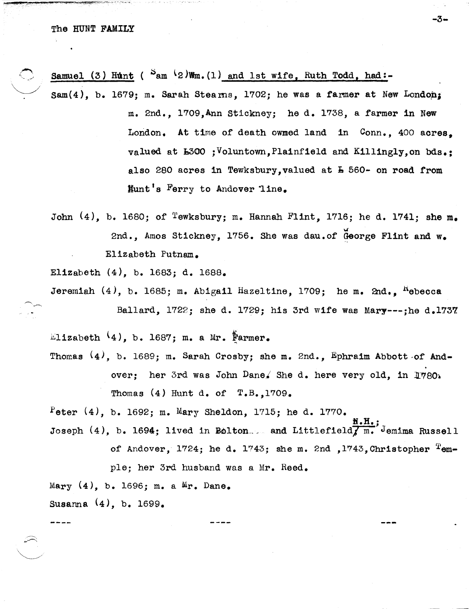## The HUNT FAMILY

Samuel (3) Hunt ( $S_{am}$  (2)Wm.(1) and 1st wife, Ruth Todd, had:-

 $\texttt{Sam}(4)$ , b. 1679; m. Sarah Stearns, 1702; he was a farmer at New London; m. 2nd., l709,Ann Stickney; he d. 1738, a farmer in New London. At time of death owmed land in Conn., 400 acres, valued at b300 ;Voluntovm,Plainfield and Killingly,on bds.; also 280 acres in Tewksbury, valued at  $\bar{A}$  560- on road from Hunt's Ferry to Andover line.

-3-

John  $(4)$ , b. 1680; of Tewksbury; m. Hannah Flint, 1716; he d. 1741; she m. 2nd., Amos Stickney, 1756. She was dau.of George Flint and w. EliZabeth Putnam.

EliZabeth (4), b. 1683; d. 1688.

Jeremiah  $(4)$ , b. 1685; m. Abigail Hazeltine, 1709; he m. 2nd., <sup>K</sup>ebecca Ballard, 1722; she d. 1729; his 3rd wife was Mary---;he d.1737.

 $\text{Lilzabeth}$  (4), b. 1687; m. a Mr.  $\frac{1}{k}$ armer.

Thomas  $(4)$ , b. 1689; m. Sarah Crosby; she m. 2nd., Ephraim Abbott of Andover: her 3rd was John Dane. She d. here very old. in  $1780$ . Thomas  $(4)$  Hunt d. of  $T.B., 1709.$ 

Peter  $(4)$ , b. 1692; m. Mary Sheldon, 1715; he d. 1770.

Ii.H.; Joseph (4), b. 1694; lived in Eolton ... and Littlefield $\overline{f}$  m. Jemima Russell

of Andover, 1724; he d. 1743; she m. 2nd , 1743, Christopher  $T_{em}$ -

ple; her 3rd husband was a Mr. Reed. Mary (4), b. 1696; m. a Mr. Dane. Susanna (4), b. 1699.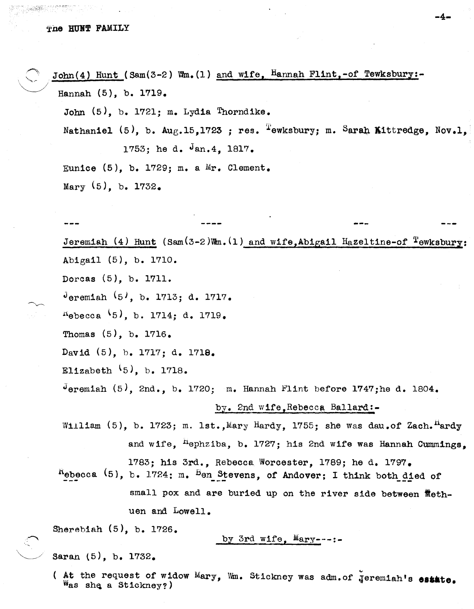## The HUNT FAMILY

 $\rightarrow$ 

 $\diagdown$ 

John(4) Hunt (Sam(3-2) Wm.(1) and wife, Hannah Flint,-of Tewksbury:-Hannah  $(5)$ , b. 1719.

John  $(5)$ , b. 1721; m. Lydia Thorndike.

Nathaniel (5), b.  $A u_{F}$ , 15,1723; res. Tewksbury; m. Sarah Kittredge, Nov.l. 1753; he d. Jan.4, 1817.

Eunice  $(5)$ , b. 1729; m. a Mr. Clement. Mary  $(5)$ , b. 1732.

Jeremiah  $(4)$  Hunt  $(Sam(3-2)\$ Tm. $(1)$  and wife,Abigail Hazeltine-of <sup>T</sup>ewksbury: Abigail (5), b. 1710. Dorcas (5), b. 1711. Jeremiah  $(5)$ , b. 1713; d. 1717.  $A_{\text{ebecca}}$  (5), b. 1714; d. 1719. Thomas (5), b. 1716. David (5), b. 1717; d. 1718. Elizabeth  $\{5\}$ , b. 1718. Jeremiah  $(5)$ , 2nd., b. 1720; m. Hannah Flint before 1747;he d. 1804. by. 2nd wife,Rebecca Bal1ard:- William  $(5)$ , b. 1723; m. lst., Mary Hardy, 1755; she was dau.of Zach.<sup>H</sup>ardy and wife,  ${}^{11}$ ephziba, b. 1727; his 2nd wife was Hannah Cummings. 1783; his 3rd., Rebecca Worcester, 1789; he d. 1797.  $R$ ebecca (5), b. 1724; m. Ben\_Stevens, of Andover; I think both\_died of small pox and are buried up on the river side between flethuen and Lowell. Sherebiah (5), b. 1726. by 3rd wife.  $M$ ary--Saran (5), b. 1732.

( At the request of widow Mary, Wm. Stickney was adm.of *ieremiah's* estate. Was she a Stickney?)

**-4-**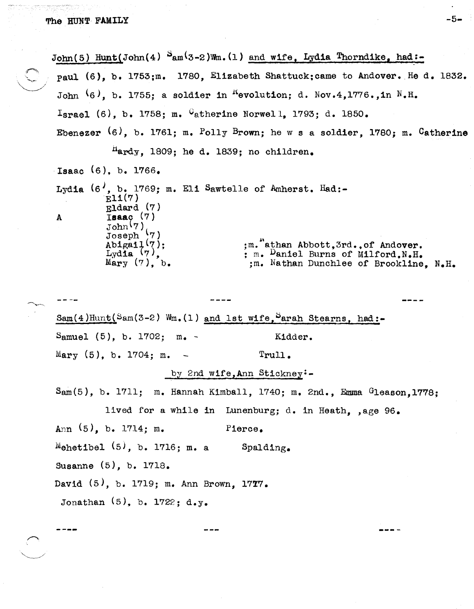$\sim$ 

| $John(5)$ Hunt(John(4) $S_{am}(3-2)$ Wm.(1) and wife, Lydia Thorndike, had:-                                                                                                                                                                  |
|-----------------------------------------------------------------------------------------------------------------------------------------------------------------------------------------------------------------------------------------------|
| paul (6), b. 1753;m. 1780, Elizabeth Shattuck; came to Andover. He d. 1832.                                                                                                                                                                   |
| John $(6)$ , b. 1755; a soldier in <sup>K</sup> evolution; d. Nov.4,1776., in N.H.                                                                                                                                                            |
| Israel (6), b. 1758; m. $C_{\text{atherine Norwell}, 1793; d. 1850.}$                                                                                                                                                                         |
| Ebenezer $(6)$ , b. 1761; m. Polly Brown; he w s a soldier, 1780; m. Catherine                                                                                                                                                                |
| Hardy, 1809; he d. 1839; no children.                                                                                                                                                                                                         |
| Isaac $(6)$ , b. 1766.                                                                                                                                                                                                                        |
| Lydia (6', b. 1769; m. Eli Sawtelle of Amherst. Had:-<br>E11(7)<br>$E1$ dard $(7)$                                                                                                                                                            |
| $I8a0$ (7)<br>$\mathbf{A}$<br>John(7)<br>Joseph <sup>1</sup> (7)<br>Abigail $(7)$ :<br>;m. athan Abbott, 3rd., of Andover.<br>Lydia $(7)$ .<br>; m. Daniel Burns of Milford.N.H.<br>Mary $(7)$ , b.<br>;m. Nathan Dunchlee of Brookline. N.H. |
|                                                                                                                                                                                                                                               |
|                                                                                                                                                                                                                                               |
| $Sam(4)Hunt(Sam(3-2) Wm.(1) and 1st wife, Sarah Stearns, had:-$                                                                                                                                                                               |
| Samuel $(5)$ , b. 1702; m. -<br>Kidder.                                                                                                                                                                                                       |
| Mary $(5)$ , b. 1704; m. -<br>Trull.                                                                                                                                                                                                          |
| by 2nd wife, Ann Stickney:-                                                                                                                                                                                                                   |
| Sam(5), b. 1711; m. Hannah Kimball, 1740; m. 2nd., Emma Gleason, 1778;                                                                                                                                                                        |
| lived for a while in Lunenburg; d. in Heath, , age 96.                                                                                                                                                                                        |
| Ann $(5)$ , b. 1714; m.<br>Pierce.                                                                                                                                                                                                            |
| Mehetibel $(5)$ , b. 1716; m. a Spalding.                                                                                                                                                                                                     |
| Susanne (5), b. 1718.                                                                                                                                                                                                                         |
| David (5), b. 1719; m. Ann Brown, 1777.                                                                                                                                                                                                       |
| Jonathan $(5)$ , b. 1722; d.y.                                                                                                                                                                                                                |
|                                                                                                                                                                                                                                               |

 $\mathcal{O}(\mathcal{O})$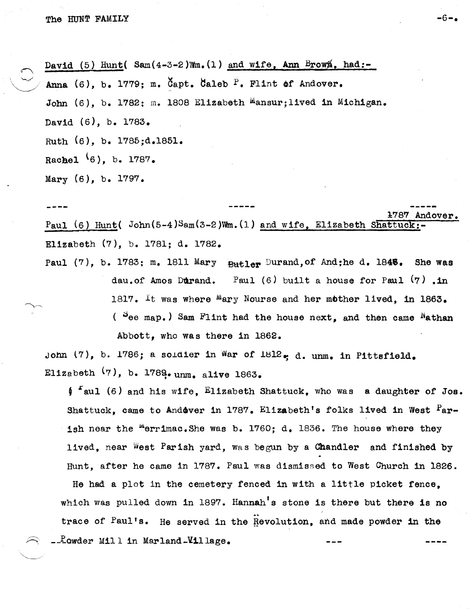$\sum_{i=1}^n$ '-./

 $\bigcup$  A David (5) Hunt (Sam  $(4-3-2)$  Mm. (1) and wife, Ann Brown, had:-Anna (6), b. 1779; m. Capt. Caleb  $\overline{P}$ . Flint of Andover. John (6), b. 1782; m. 1808 Elizabeth Mansur; lived in Michigan. David (6), b. 1783. Ruth (6), b. 1785;d.1851. Rachel  $(6)$ , b. 1787. Mary (6), b. 1797.

1:787 Andover. Paul (6) Hunt(  $John(5-4)Sam(3-2)Wm. (1)$  and wife. Elizabeth Shattuck: Elizabeth (7), b. 1781; d. 1782.

Paul (7), b. 1783; m. 1811 Mary  $B$ utler Durand, of And;he d. 1845. She was dau.of Amos Durand. Paul  $(6)$  built a house for Paul  $(7)$ .in *1817. It* was where Mary Nourse and her mother lived, in 1863. ( $^{\circ}$ ee map.) Sam Flint had the house next, and then came  $^{\prime\prime}$ athan Abbott, who was there in 1862.

John  $(7)$ , b. 1786; a soldier in War of 1812. d. unm. in Pittsfield. Elizabeth  $(7)$ , b. 1789.unm. alive 1863.

 $\int f$  aul (6) and his wife, Elizabeth Shattuck, who was a daughter of Jos. Shattuck, came to Andover in 1787. Elizabeth's folks lived in West <sup>P</sup>arish near the merrimac. She was b. 1760;  $d_a$  1836. The house where they lived, near West Parish yard, was begun by a Chandler and finished by Hunt, after he came in 1787. Paul was dismissed to West Church in 1826.

He had a plot in the cemetery fenced in with a little picket fence, which was pulled down in 1897. Hannah's stone is there but there is no trace of Paul's. He served in the Revolution, and made powder in the  $\texttt{-Power}$  Mill in Marland-Yillage.

-6-.